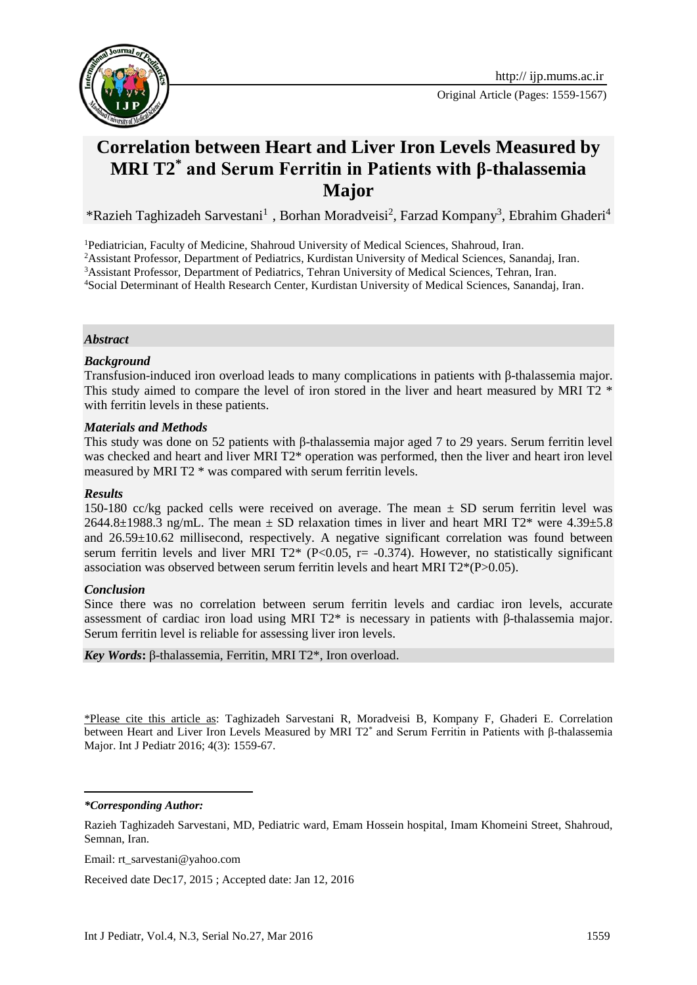

Original Article (Pages: 1559-1567)

# **Correlation between Heart and Liver Iron Levels Measured by MRI T2\* and Serum Ferritin in Patients with β-thalassemia Major**

\*Razieh Taghizadeh Sarvestani<sup>1</sup>, Borhan Moradveisi<sup>2</sup>, Farzad Kompany<sup>3</sup>, Ebrahim Ghaderi<sup>4</sup>

<sup>1</sup>Pediatrician, Faculty of Medicine, Shahroud University of Medical Sciences, Shahroud, Iran.

<sup>2</sup>Assistant Professor, Department of Pediatrics, Kurdistan University of Medical Sciences, Sanandaj, Iran.

<sup>3</sup>Assistant Professor, Department of Pediatrics, Tehran University of Medical Sciences, Tehran, Iran.

<sup>4</sup>Social Determinant of Health Research Center, Kurdistan University of Medical Sciences, Sanandaj, Iran.

#### *Abstract*

#### *Background*

Transfusion-induced iron overload leads to many complications in patients with β-thalassemia major. This study aimed to compare the level of iron stored in the liver and heart measured by MRI T2  $*$ with ferritin levels in these patients.

#### *Materials and Methods*

This study was done on 52 patients with β-thalassemia major aged 7 to 29 years. Serum ferritin level was checked and heart and liver MRI T2\* operation was performed, then the liver and heart iron level measured by MRI T2 \* was compared with serum ferritin levels.

#### *Results*

150-180 cc/kg packed cells were received on average. The mean  $\pm$  SD serum ferritin level was 2644.8 $\pm$ 1988.3 ng/mL. The mean  $\pm$  SD relaxation times in liver and heart MRI T2\* were 4.39 $\pm$ 5.8 and 26.59±10.62 millisecond, respectively. A negative significant correlation was found between serum ferritin levels and liver MRI  $T2^*$  (P<0.05, r= -0.374). However, no statistically significant association was observed between serum ferritin levels and heart MRI T2\*(P>0.05).

### *Conclusion*

Since there was no correlation between serum ferritin levels and cardiac iron levels, accurate assessment of cardiac iron load using MRI T2\* is necessary in patients with β-thalassemia major. Serum ferritin level is reliable for assessing liver iron levels.

#### *Key Words***:** β-thalassemia, Ferritin, MRI T2\*, Iron overload.

\*Please cite this article as: Taghizadeh Sarvestani R, Moradveisi B, Kompany F, Ghaderi E. Correlation between Heart and Liver Iron Levels Measured by MRI T2\* and Serum Ferritin in Patients with β-thalassemia Major. Int J Pediatr 2016; 4(3): 1559-67.

*\*Corresponding Author:*

**.** 

Email: rt\_sarvestani@yahoo.com

Received date Dec17, 2015 ; Accepted date: Jan 12, 2016

Razieh Taghizadeh Sarvestani, MD, Pediatric ward, Emam Hossein hospital, Imam Khomeini Street, Shahroud, Semnan, Iran.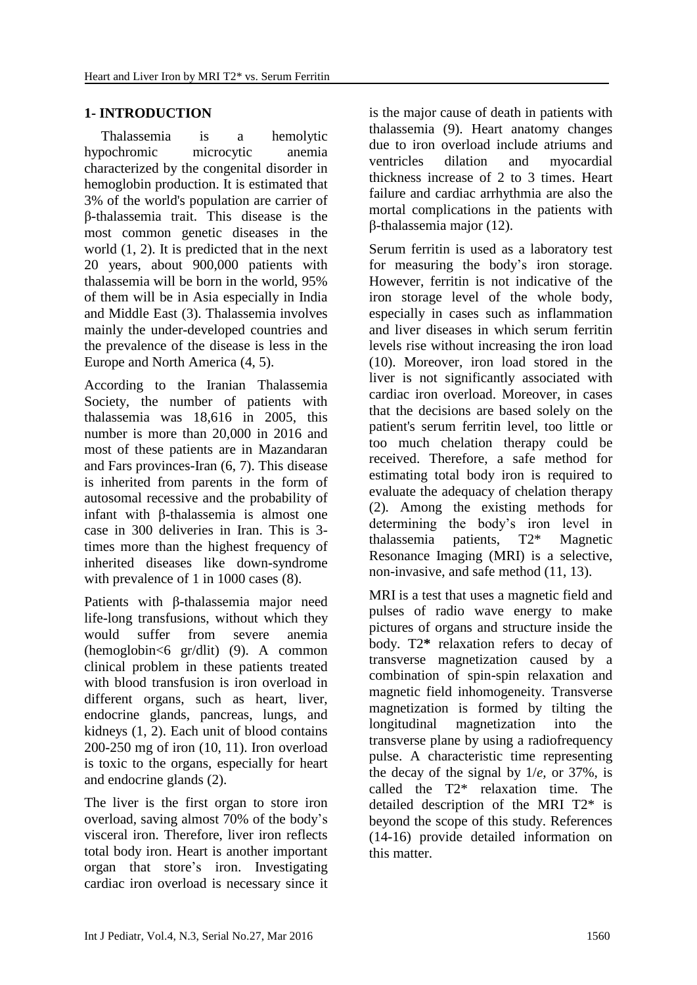# **1- INTRODUCTION**

Thalassemia is a hemolytic hypochromic microcytic anemia characterized by the congenital disorder in hemoglobin production. It is estimated that 3% of the world's population are carrier of β-thalassemia trait. This disease is the most common genetic diseases in the world (1, 2). It is predicted that in the next 20 years, about 900,000 patients with thalassemia will be born in the world, 95% of them will be in Asia especially in India and Middle East (3). Thalassemia involves mainly the under-developed countries and the prevalence of the disease is less in the Europe and North America (4, 5).

According to the Iranian Thalassemia Society, the number of patients with thalassemia was 18,616 in 2005, this number is more than 20,000 in 2016 and most of these patients are in Mazandaran and Fars provinces-Iran (6, 7). This disease is inherited from parents in the form of autosomal recessive and the probability of infant with β-thalassemia is almost one case in 300 deliveries in Iran. This is 3 times more than the highest frequency of inherited diseases like down-syndrome with prevalence of 1 in 1000 cases  $(8)$ .

Patients with β-thalassemia major need life-long transfusions, without which they would suffer from severe anemia (hemoglobin<6 gr/dlit) (9). A common clinical problem in these patients treated with blood transfusion is iron overload in different organs, such as heart, liver, endocrine glands, pancreas, lungs, and kidneys (1, 2). Each unit of blood contains 200-250 mg of iron (10, 11). Iron overload is toxic to the organs, especially for heart and endocrine glands (2).

The liver is the first organ to store iron overload, saving almost 70% of the body's visceral iron. Therefore, liver iron reflects total body iron. Heart is another important organ that store's iron. Investigating cardiac iron overload is necessary since it is the major cause of death in patients with thalassemia (9). Heart anatomy changes due to iron overload include atriums and ventricles dilation and myocardial thickness increase of 2 to 3 times. Heart failure and cardiac arrhythmia are also the mortal complications in the patients with β-thalassemia major (12).

Serum ferritin is used as a laboratory test for measuring the body's iron storage. However, ferritin is not indicative of the iron storage level of the whole body, especially in cases such as inflammation and liver diseases in which serum ferritin levels rise without increasing the iron load (10). Moreover, iron load stored in the liver is not significantly associated with cardiac iron overload. Moreover, in cases that the decisions are based solely on the patient's serum ferritin level, too little or too much chelation therapy could be received. Therefore, a safe method for estimating total body iron is required to evaluate the adequacy of chelation therapy (2). Among the existing methods for determining the body's iron level in thalassemia patients, T2\* Magnetic Resonance Imaging (MRI) is a selective, non-invasive, and safe method (11, 13).

MRI is a test that uses a magnetic field and pulses of radio wave energy to make pictures of organs and structure inside the body. T2**\*** relaxation refers to decay of transverse magnetization caused by a combination of spin-spin relaxation and magnetic field inhomogeneity. Transverse magnetization is formed by tilting the longitudinal magnetization into the transverse plane by using a radiofrequency pulse. A characteristic time representing the decay of the signal by 1/*e,* or 37%, is called the T2\* relaxation time. The detailed description of the MRI T2\* is beyond the scope of this study. References (14-16) provide detailed information on this matter.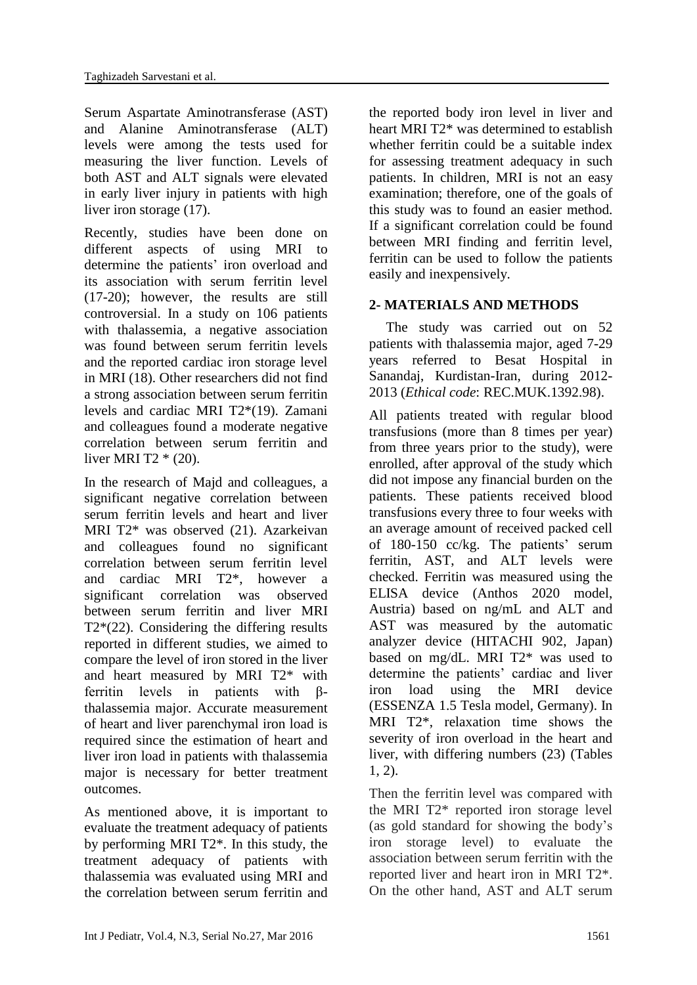Serum Aspartate Aminotransferase (AST) and Alanine Aminotransferase (ALT) levels were among the tests used for measuring the liver function. Levels of both AST and ALT signals were elevated in early liver injury in patients with high liver iron storage (17).

Recently, studies have been done on different aspects of using MRI to determine the patients' iron overload and its association with serum ferritin level (17-20); however, the results are still controversial. In a study on 106 patients with thalassemia, a negative association was found between serum ferritin levels and the reported cardiac iron storage level in MRI (18). Other researchers did not find a strong association between serum ferritin levels and cardiac MRI T2\*(19). Zamani and colleagues found a moderate negative correlation between serum ferritin and liver MRI T2 \* (20).

In the research of Majd and colleagues, a significant negative correlation between serum ferritin levels and heart and liver MRI T2\* was observed (21). Azarkeivan and colleagues found no significant correlation between serum ferritin level and cardiac MRI T2\*, however a significant correlation was observed between serum ferritin and liver MRI  $T2*(22)$ . Considering the differing results reported in different studies, we aimed to compare the level of iron stored in the liver and heart measured by MRI T2\* with ferritin levels in patients with βthalassemia major. Accurate measurement of heart and liver parenchymal iron load is required since the estimation of heart and liver iron load in patients with thalassemia major is necessary for better treatment outcomes.

As mentioned above, it is important to evaluate the treatment adequacy of patients by performing MRI T2\*. In this study, the treatment adequacy of patients with thalassemia was evaluated using MRI and the correlation between serum ferritin and the reported body iron level in liver and heart MRI T2<sup>\*</sup> was determined to establish whether ferritin could be a suitable index for assessing treatment adequacy in such patients. In children, MRI is not an easy examination; therefore, one of the goals of this study was to found an easier method. If a significant correlation could be found between MRI finding and ferritin level, ferritin can be used to follow the patients easily and inexpensively.

# **2- MATERIALS AND METHODS**

The study was carried out on 52 patients with thalassemia major, aged 7-29 years referred to Besat Hospital in Sanandaj, Kurdistan-Iran, during 2012- 2013 (*Ethical code*: REC.MUK.1392.98).

All patients treated with regular blood transfusions (more than 8 times per year) from three years prior to the study), were enrolled, after approval of the study which did not impose any financial burden on the patients. These patients received blood transfusions every three to four weeks with an average amount of received packed cell of 180-150 cc/kg. The patients' serum ferritin, AST, and ALT levels were checked. Ferritin was measured using the ELISA device (Anthos 2020 model, Austria) based on ng/mL and ALT and AST was measured by the automatic analyzer device (HITACHI 902, Japan) based on mg/dL. MRI T2\* was used to determine the patients' cardiac and liver iron load using the MRI device (ESSENZA 1.5 Tesla model, Germany). In MRI T2\*, relaxation time shows the severity of iron overload in the heart and liver, with differing numbers (23) (Tables 1, 2).

Then the ferritin level was compared with the MRI T2\* reported iron storage level (as gold standard for showing the body's iron storage level) to evaluate the association between serum ferritin with the reported liver and heart iron in MRI T2\*. On the other hand, AST and ALT serum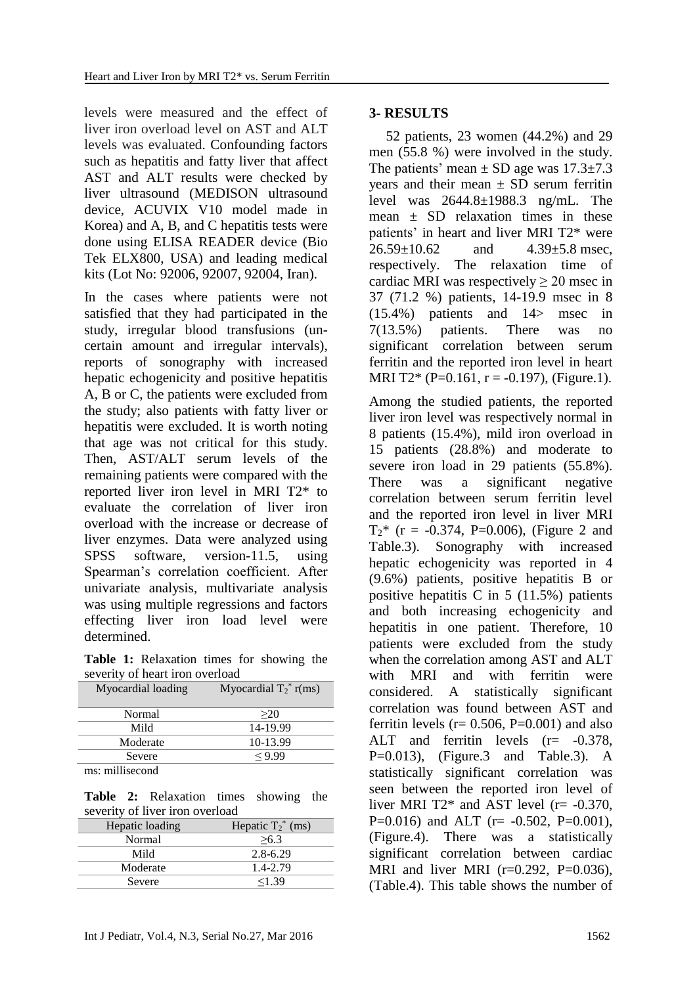levels were measured and the effect of liver iron overload level on AST and ALT levels was evaluated. Confounding factors such as hepatitis and fatty liver that affect AST and ALT results were checked by liver ultrasound (MEDISON ultrasound device, ACUVIX V10 model made in Korea) and A, B, and C hepatitis tests were done using ELISA READER device (Bio Tek ELX800, USA) and leading medical kits (Lot No: 92006, 92007, 92004, Iran).

In the cases where patients were not satisfied that they had participated in the study, irregular blood transfusions (uncertain amount and irregular intervals), reports of sonography with increased hepatic echogenicity and positive hepatitis A, B or C, the patients were excluded from the study; also patients with fatty liver or hepatitis were excluded. It is worth noting that age was not critical for this study. Then, AST/ALT serum levels of the remaining patients were compared with the reported liver iron level in MRI T2\* to evaluate the correlation of liver iron overload with the increase or decrease of liver enzymes. Data were analyzed using SPSS software, version-11.5, using Spearman's correlation coefficient. After univariate analysis, multivariate analysis was using multiple regressions and factors effecting liver iron load level were determined.

**Table 1:** Relaxation times for showing the severity of heart iron overload

| Myocardial loading | Myocardial $T_2^*$ r(ms) |
|--------------------|--------------------------|
| Normal             | >20                      |
| Mild               | 14-19.99                 |
| Moderate           | 10-13.99                 |
| Severe             | < 9.99                   |
|                    |                          |

ms: millisecond

**Table 2:** Relaxation times showing the severity of liver iron overload

| .               |                      |  |  |  |
|-----------------|----------------------|--|--|--|
| Hepatic loading | Hepatic $T_2^*$ (ms) |  |  |  |
| Normal          | >6.3                 |  |  |  |
| Mild            | $2.8 - 6.29$         |  |  |  |
| Moderate        | 1.4-2.79             |  |  |  |
| Severe          | 1.39                 |  |  |  |
|                 |                      |  |  |  |

### **3- RESULTS**

52 patients, 23 women (44.2%) and 29 men (55.8 %) were involved in the study. The patients' mean  $\pm$  SD age was 17.3 $\pm$ 7.3 years and their mean  $\pm$  SD serum ferritin level was 2644.8±1988.3 ng/mL. The mean  $\pm$  SD relaxation times in these patients' in heart and liver MRI T2\* were  $26.59 \pm 10.62$  and  $4.39 \pm 5.8$  msec, respectively. The relaxation time of cardiac MRI was respectively  $> 20$  msec in 37 (71.2 %) patients, 14-19.9 msec in 8 (15.4%) patients and 14> msec in 7(13.5%) patients. There was no significant correlation between serum ferritin and the reported iron level in heart MRI T2\* (P=0.161, r = -0.197), (Figure.1).

Among the studied patients, the reported liver iron level was respectively normal in 8 patients (15.4%), mild iron overload in 15 patients (28.8%) and moderate to severe iron load in 29 patients (55.8%). There was a significant negative correlation between serum ferritin level and the reported iron level in liver MRI  $T_2^*$  (r = -0.374, P=0.006), (Figure 2 and Table.3). Sonography with increased hepatic echogenicity was reported in 4 (9.6%) patients, positive hepatitis B or positive hepatitis C in 5 (11.5%) patients and both increasing echogenicity and hepatitis in one patient. Therefore, 10 patients were excluded from the study when the correlation among AST and ALT with MRI and with ferritin were considered. A statistically significant correlation was found between AST and ferritin levels ( $r= 0.506$ ,  $P=0.001$ ) and also ALT and ferritin levels  $(r=-0.378,$  $P=0.013$ ), (Figure.3 and Table.3). A statistically significant correlation was seen between the reported iron level of liver MRI T2 $*$  and AST level (r= -0.370, P=0.016) and ALT ( $r = -0.502$ , P=0.001), (Figure.4). There was a statistically significant correlation between cardiac MRI and liver MRI  $(r=0.292, P=0.036)$ , (Table.4). This table shows the number of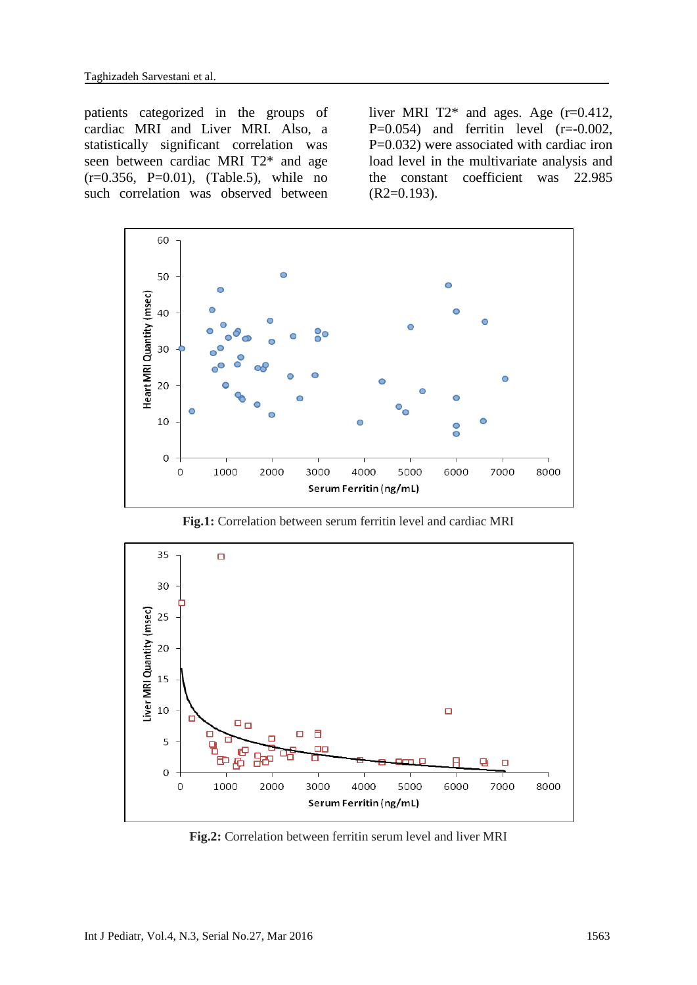patients categorized in the groups of cardiac MRI and Liver MRI. Also, a statistically significant correlation was seen between cardiac MRI T2\* and age  $(r=0.356, P=0.01)$ ,  $(Table.5)$ , while no such correlation was observed between

liver MRI  $T2^*$  and ages. Age (r=0.412, P= $0.054$ ) and ferritin level (r= $-0.002$ , P=0.032) were associated with cardiac iron load level in the multivariate analysis and the constant coefficient was 22.985  $(R2=0.193)$ .



**Fig.1:** Correlation between serum ferritin level and cardiac MRI



**Fig.2:** Correlation between ferritin serum level and liver MRI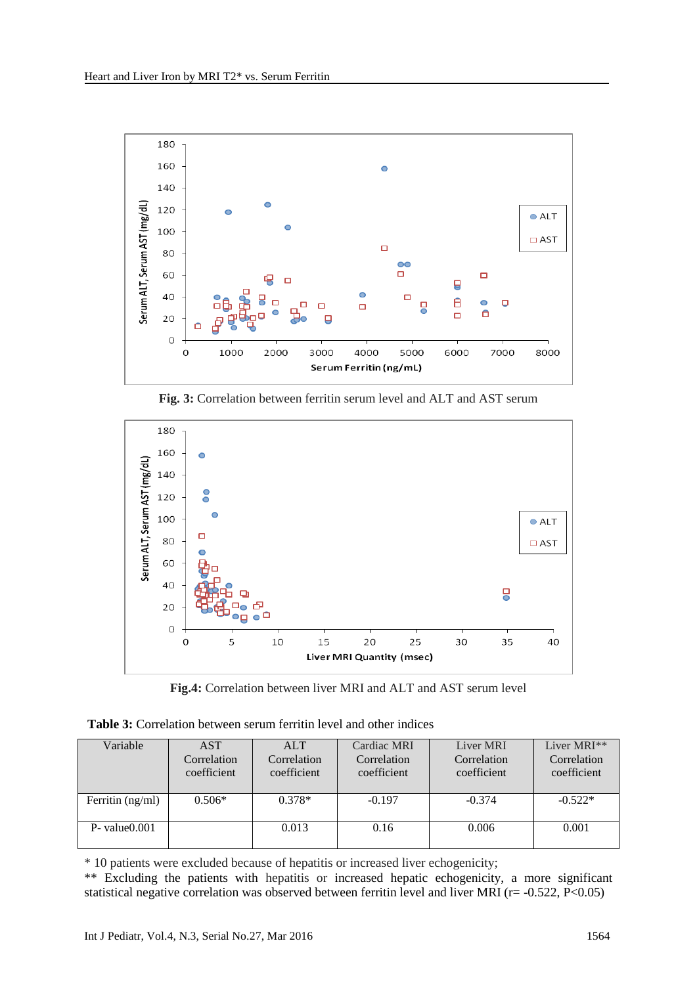





**Fig.4:** Correlation between liver MRI and ALT and AST serum level

| <b>Table 3:</b> Correlation between serum ferritin level and other indices |  |  |  |  |
|----------------------------------------------------------------------------|--|--|--|--|
|----------------------------------------------------------------------------|--|--|--|--|

| Variable           | <b>AST</b>                 | <b>ALT</b>                 | Cardiac MRI                | Liver MRI   | Liver MRI <sup>**</sup> |
|--------------------|----------------------------|----------------------------|----------------------------|-------------|-------------------------|
|                    | Correlation<br>coefficient | Correlation<br>coefficient | Correlation<br>coefficient | Correlation | Correlation             |
|                    |                            |                            |                            | coefficient | coefficient             |
| Ferritin $(ng/ml)$ | $0.506*$                   | $0.378*$                   | $-0.197$                   | $-0.374$    | $-0.522*$               |
| $P-$ value $0.001$ |                            | 0.013                      | 0.16                       | 0.006       | 0.001                   |

\* 10 patients were excluded because of hepatitis or increased liver echogenicity;

\*\* Excluding the patients with hepatitis or increased hepatic echogenicity, a more significant statistical negative correlation was observed between ferritin level and liver MRI (r= -0.522, P<0.05)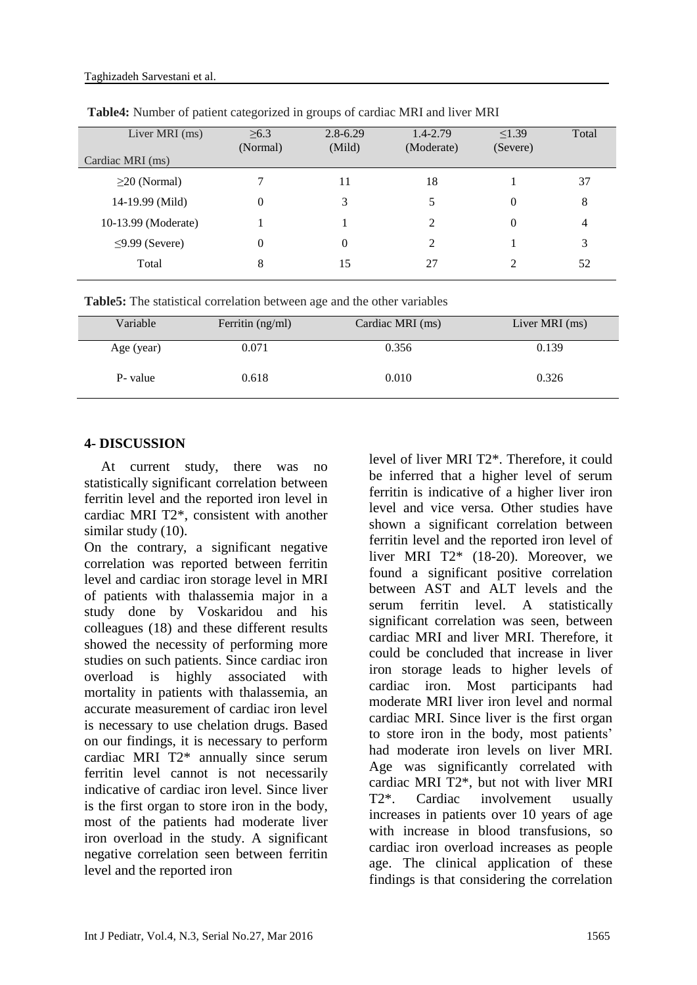| Liver MRI (ms)       | >6.3     | $2.8 - 6.29$ | 1.4-2.79   | < 1.39   | Total |
|----------------------|----------|--------------|------------|----------|-------|
|                      | (Normal) | (Mild)       | (Moderate) | (Severe) |       |
| Cardiac MRI (ms)     |          |              |            |          |       |
| $\geq$ 20 (Normal)   |          | 11           | 18         |          | 37    |
| 14-19.99 (Mild)      | 0        | 3            |            | 0        | 8     |
| 10-13.99 (Moderate)  |          |              | 2          | 0        | 4     |
| $\leq$ 9.99 (Severe) | 0        | 0            | 2          |          | 3     |
| Total                | 8        | 15           | 27         | 2        | 52    |
|                      |          |              |            |          |       |

**Table4:** Number of patient categorized in groups of cardiac MRI and liver MRI

**Table5:** The statistical correlation between age and the other variables

| Variable   | Ferritin (ng/ml) | Cardiac MRI (ms) | Liver MRI (ms) |
|------------|------------------|------------------|----------------|
| Age (year) | 0.071            | 0.356            | 0.139          |
| P- value   | 0.618            | 0.010            | 0.326          |

# **4- DISCUSSION**

At current study, there was no statistically significant correlation between ferritin level and the reported iron level in cardiac MRI T2\*, consistent with another similar study (10).

On the contrary, a significant negative correlation was reported between ferritin level and cardiac iron storage level in MRI of patients with thalassemia major in a study done by Voskaridou and his colleagues (18) and these different results showed the necessity of performing more studies on such patients. Since cardiac iron overload is highly associated with mortality in patients with thalassemia, an accurate measurement of cardiac iron level is necessary to use chelation drugs. Based on our findings, it is necessary to perform cardiac MRI T2\* annually since serum ferritin level cannot is not necessarily indicative of cardiac iron level. Since liver is the first organ to store iron in the body, most of the patients had moderate liver iron overload in the study. A significant negative correlation seen between ferritin level and the reported iron

level of liver MRI T2\*. Therefore, it could be inferred that a higher level of serum ferritin is indicative of a higher liver iron level and vice versa. Other studies have shown a significant correlation between ferritin level and the reported iron level of liver MRI T2\* (18-20). Moreover, we found a significant positive correlation between AST and ALT levels and the serum ferritin level. A statistically significant correlation was seen, between cardiac MRI and liver MRI. Therefore, it could be concluded that increase in liver iron storage leads to higher levels of cardiac iron. Most participants had moderate MRI liver iron level and normal cardiac MRI. Since liver is the first organ to store iron in the body, most patients' had moderate iron levels on liver MRI. Age was significantly correlated with cardiac MRI T2\*, but not with liver MRI T2\*. Cardiac involvement usually increases in patients over 10 years of age with increase in blood transfusions, so cardiac iron overload increases as people age. The clinical application of these findings is that considering the correlation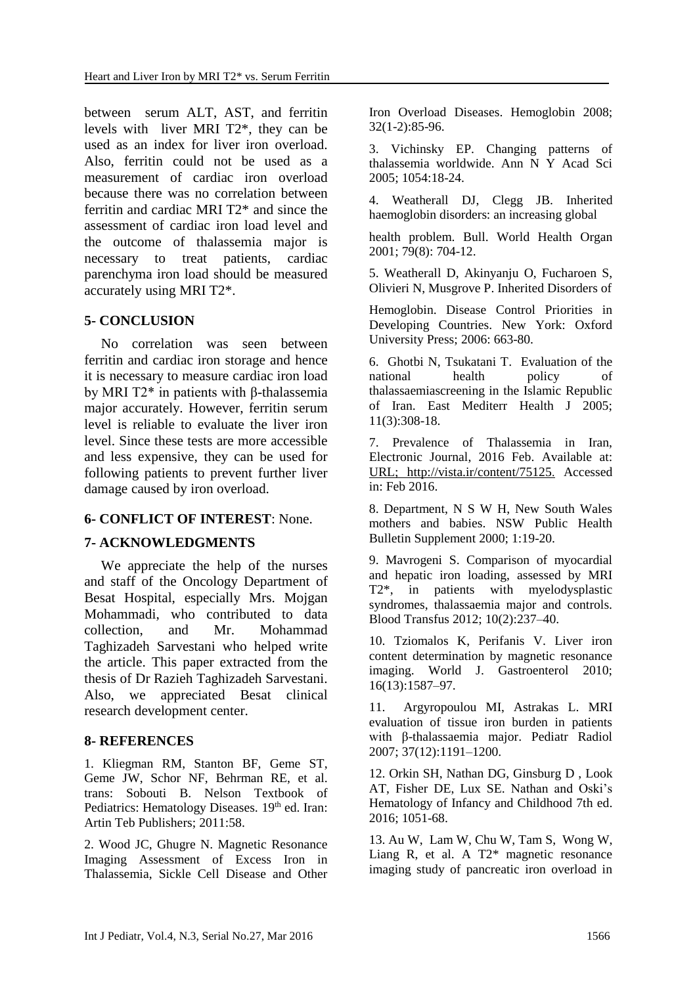between serum ALT, AST, and ferritin levels with liver MRI T2\*, they can be used as an index for liver iron overload. Also, ferritin could not be used as a measurement of cardiac iron overload because there was no correlation between ferritin and cardiac MRI T2\* and since the assessment of cardiac iron load level and the outcome of thalassemia major is necessary to treat patients, cardiac parenchyma iron load should be measured accurately using MRI T2\*.

## **5- CONCLUSION**

No correlation was seen between ferritin and cardiac iron storage and hence it is necessary to measure cardiac iron load by MRI T2\* in patients with β-thalassemia major accurately. However, ferritin serum level is reliable to evaluate the liver iron level. Since these tests are more accessible and less expensive, they can be used for following patients to prevent further liver damage caused by iron overload.

## **6- CONFLICT OF INTEREST**: None.

### **7- ACKNOWLEDGMENTS**

We appreciate the help of the nurses and staff of the Oncology Department of Besat Hospital, especially Mrs. Mojgan Mohammadi, who contributed to data collection, and Mr. Mohammad Taghizadeh Sarvestani who helped write the article. This paper extracted from the thesis of Dr Razieh Taghizadeh Sarvestani. Also, we appreciated Besat clinical research development center.

### **8- REFERENCES**

1. Kliegman RM, Stanton BF, Geme ST, Geme JW, Schor NF, Behrman RE, et al. trans: Sobouti B. Nelson Textbook of Pediatrics: Hematology Diseases. 19<sup>th</sup> ed. Iran: Artin Teb Publishers; 2011:58.

2. Wood JC, Ghugre N. Magnetic Resonance Imaging Assessment of Excess Iron in Thalassemia, Sickle Cell Disease and Other Iron Overload Diseases. Hemoglobin 2008; 32(1-2):85-96.

3. Vichinsky EP. Changing patterns of thalassemia worldwide. Ann N Y Acad Sci 2005; 1054:18-24.

4. Weatherall DJ, Clegg JB. Inherited haemoglobin disorders: an increasing global

health problem. Bull. World Health Organ 2001; 79(8): 704-12.

5. Weatherall D, Akinyanju O, Fucharoen S, Olivieri N, Musgrove P. Inherited Disorders of

Hemoglobin. Disease Control Priorities in Developing Countries. New York: Oxford University Press; 2006: 663-80.

6. Ghotbi N, Tsukatani T. Evaluation of the national health policy of thalassaemiascreening in the Islamic Republic of Iran. East Mediterr Health J 2005; 11(3):308-18.

7. Prevalence of Thalassemia in Iran, Electronic Journal, 2016 Feb. Available at: URL; [http://vista.ir/content/75125.](http://vista.ir/content/75125) Accessed in: Feb 2016.

8. Department, N S W H, New South Wales mothers and babies. NSW Public Health Bulletin Supplement 2000; 1:19-20.

9. Mavrogeni S. Comparison of myocardial and hepatic iron loading, assessed by MRI T2\*, in patients with myelodysplastic syndromes, thalassaemia major and controls. Blood Transfus 2012; 10(2):237–40.

10. Tziomalos K, Perifanis V. Liver iron content determination by magnetic resonance imaging. World J. Gastroenterol 2010; 16(13):1587–97.

11. Argyropoulou MI, Astrakas L. MRI evaluation of tissue iron burden in patients with β-thalassaemia major. Pediatr Radiol 2007; 37(12):1191–1200.

12. Orkin SH, Nathan DG, Ginsburg D , Look AT, Fisher DE, Lux SE. Nathan and Oski's Hematology of Infancy and Childhood 7th ed. 2016; 1051-68.

13. [Au](http://www.haematologica.org/search?author1=Wing-Yan+Au&sortspec=date&submit=Submit) W, [Lam](http://www.haematologica.org/search?author1=Wynnie+Wai-Man+Lam&sortspec=date&submit=Submit) W, [Chu](http://www.haematologica.org/search?author1=Winnie+Chu&sortspec=date&submit=Submit) W, [Tam](http://www.haematologica.org/search?author1=Sidney+Tam&sortspec=date&submit=Submit) S, [Wong](http://www.haematologica.org/search?author1=Wai-Keng+Wong&sortspec=date&submit=Submit) W, [Liang](http://www.haematologica.org/search?author1=Raymond+Liang&sortspec=date&submit=Submit) R, et al. A T2\* magnetic resonance imaging study of pancreatic iron overload in